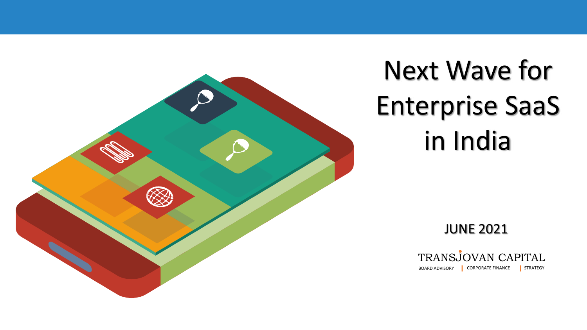

# Next Wave for Enterprise SaaS in India

JUNE 2021

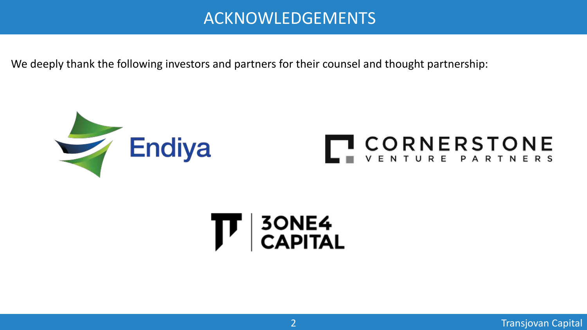# ACKNOWLEDGEMENTS

We deeply thank the following investors and partners for their counsel and thought partnership:



# $\mathbf{T}$  | 30NE4<br>CAPITAL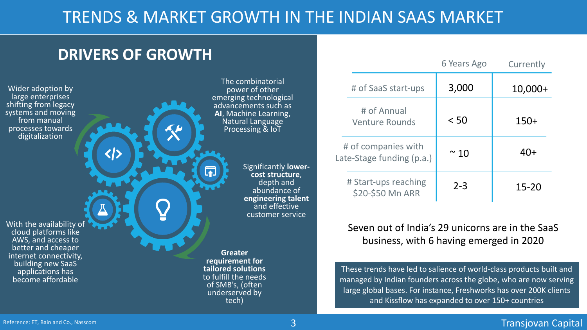# TRENDS & MARKET GROWTH IN THE INDIAN SAAS MARKET

# **DRIVERS OF GROWTH**

Wider adoption by large enterprises shifting from legacy systems and moving from manual processes towards digitalization

The combinatorial power of other emerging technological advancements such as **AI**, Machine Learning, Natural Language Processing & IoT

> Significantly **lower- cost structure**, depth and abundance of **engineering talent**  and effective customer service

With the availability of cloud platforms like AWS, and access to better and cheaper internet connectivity, building new SaaS applications has become affordable

**Greater requirement for tailored solutions**  to fulfill the needs of SMB's, (often underserved by tech)

|                                                  | 6 Years Ago | Currently |
|--------------------------------------------------|-------------|-----------|
| # of SaaS start-ups                              | 3,000       | $10,000+$ |
| # of Annual<br><b>Venture Rounds</b>             | < 50        | $150+$    |
| # of companies with<br>Late-Stage funding (p.a.) | $~\sim$ 10  | $40+$     |
| # Start-ups reaching<br>\$20-\$50 Mn ARR         | $2 - 3$     | 15-20     |

#### Seven out of India's 29 unicorns are in the SaaS business, with 6 having emerged in 2020

These trends have led to salience of world-class products built and managed by Indian founders across the globe, who are now serving large global bases. For instance, Freshworks has over 200K clients and Kissflow has expanded to over 150+ countries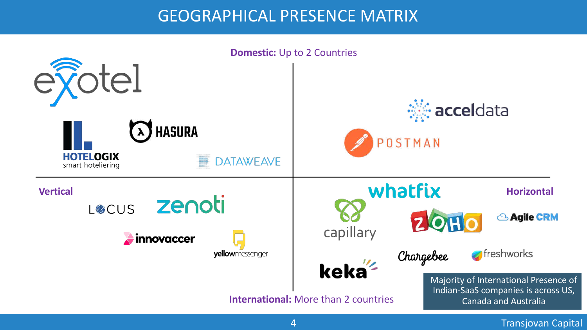# GEOGRAPHICAL PRESENCE MATRIX

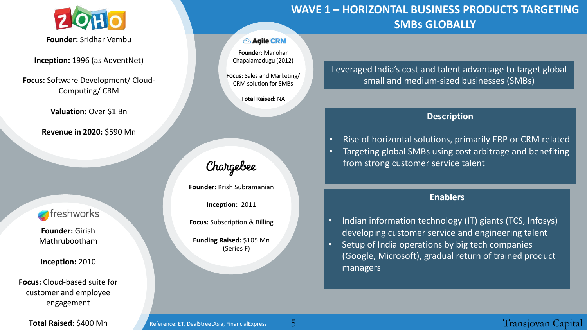

**Founder:** Sridhar Vembu

**Inception:** 1996 (as AdventNet)

**Focus:** Software Development/ Cloud-Computing/ CRM

**Valuation:** Over \$1 Bn

**Revenue in 2020:** \$590 Mn

#### freshworks

**Founder:** Girish Mathrubootham

**Inception:** 2010

**Focus:** Cloud-based suite for customer and employee engagement

**Total Raised:** \$400 Mn

#### **Agile CRM**

**Founder:** Manohar Chapalamadugu (2012)

**Focus:** Sales and Marketing/ CRM solution for SMBs

**Total Raised:** NA

### Chargebee

**Founder:** Krish Subramanian

**Inception:** 2011

**Focus:** Subscription & Billing

**Funding Raised:** \$105 Mn (Series F)

#### **WAVE 1 – HORIZONTAL BUSINESS PRODUCTS TARGETING SMBs GLOBALLY**

#### Leveraged India's cost and talent advantage to target global small and medium-sized businesses (SMBs)

#### **Description**

- Rise of horizontal solutions, primarily ERP or CRM related
- Targeting global SMBs using cost arbitrage and benefiting from strong customer service talent

#### **Enablers**

- Indian information technology (IT) giants (TCS, Infosys) developing customer service and engineering talent
- Setup of India operations by big tech companies (Google, Microsoft), gradual return of trained product managers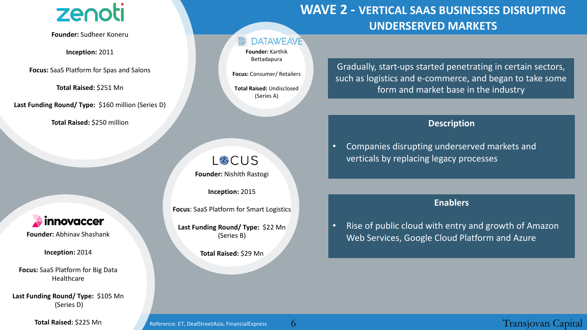# zenoti

**Founder:** Sudheer Koneru

**Inception:** 2011

**Focus:** SaaS Platform for Spas and Salons

**Total Raised:** \$251 Mn

**Last Funding Round/ Type:** \$160 million (Series D)

**Total Raised:** \$250 million

innovaccer

**Founder:** Abhinav Shashank

**Inception:** 2014

**Focus:** SaaS Platform for Big Data Healthcare

**Last Funding Round/ Type:** \$105 Mn (Series D)

**Total Raised:** \$225 Mn

#### **DATAWEAVE**

**Founder:** Karthik Bettadapura

**Focus:** Consumer/ Retailers

**Total Raised:** Undisclosed (Series A)

**LØCUS Founder:** Nishith Rastogi

**Inception:** 2015

**Focus**: SaaS Platform for Smart Logistics

**Last Funding Round/ Type:** \$22 Mn (Series B)

**Total Raised:** \$29 Mn

## **WAVE 2 - VERTICAL SAAS BUSINESSES DISRUPTING UNDERSERVED MARKETS**

Gradually, start-ups started penetrating in certain sectors, such as logistics and e-commerce, and began to take some form and market base in the industry

#### **Description**

• Companies disrupting underserved markets and verticals by replacing legacy processes

#### **Enablers**

• Rise of public cloud with entry and growth of Amazon Web Services, Google Cloud Platform and Azure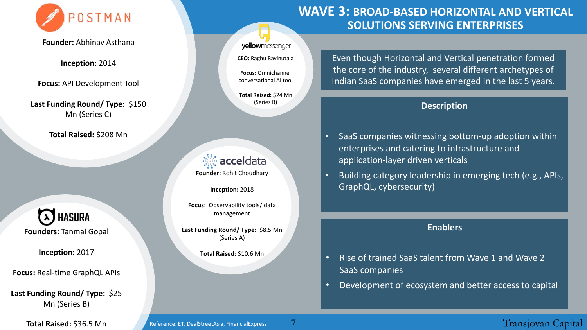

**Founder:** Abhinav Asthana

**Inception:** 2014

**Focus:** API Development Tool

**Last Funding Round/ Type:** \$150 Mn (Series C)

**Total Raised:** \$208 Mn

**A** HASURA **Founders:** Tanmai Gopal

**Inception:** 2017

**Focus:** Real-time GraphQL APIs

**Last Funding Round/ Type:** \$25 Mn (Series B)

**Total Raised:** \$36.5 Mn

#### yellowmessenger

**CEO:** Raghu Ravinutala

**Focus:** Omnichannel conversational AI tool

**Total Raised:** \$24 Mn (Series B)

**※ accel**data **Founder:** Rohit Choudhary

**Inception:** 2018

**Focus**: Observability tools/ data management

**Last Funding Round/ Type:** \$8.5 Mn (Series A)

**Total Raised:** \$10.6 Mn

#### **WAVE 3: BROAD-BASED HORIZONTAL AND VERTICAL SOLUTIONS SERVING ENTERPRISES**

Even though Horizontal and Vertical penetration formed the core of the industry, several different archetypes of Indian SaaS companies have emerged in the last 5 years.

#### **Description**

- SaaS companies witnessing bottom-up adoption within enterprises and catering to infrastructure and application-layer driven verticals
- Building category leadership in emerging tech (e.g., APIs, GraphQL, cybersecurity)

#### **Enablers**

- Rise of trained SaaS talent from Wave 1 and Wave 2 SaaS companies
- Development of ecosystem and better access to capital

Reference: ET, DealStreetAsia, FinancialExpress

7 Transjovan Capital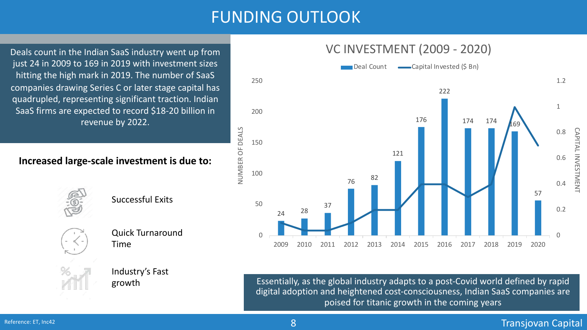# FUNDING OUTLOOK

NUMBER OF DEALS

NUMBER OF DEALS

Deals count in the Indian SaaS industry went up from just 24 in 2009 to 169 in 2019 with investment sizes hitting the high mark in 2019. The number of SaaS companies drawing Series C or later stage capital has quadrupled, representing significant traction. Indian SaaS firms are expected to record \$18-20 billion in revenue by 2022.

#### **Increased large-scale investment is due to:**



Successful Exits



Quick Turnaround Time

Industry's Fast growth





Essentially, as the global industry adapts to a post-Covid world defined by rapid digital adoption and heightened cost-consciousness, Indian SaaS companies are poised for titanic growth in the coming years

#### Reference: ET, Inc42

#### 8 Transjovan Capital Barat (1999) and the Capital Capital Capital Capital Capital Capital Capital Capital Capital Capital Capital Capital Capital Capital Capital Capital Capital Capital Capital Capital Capital Capital Capi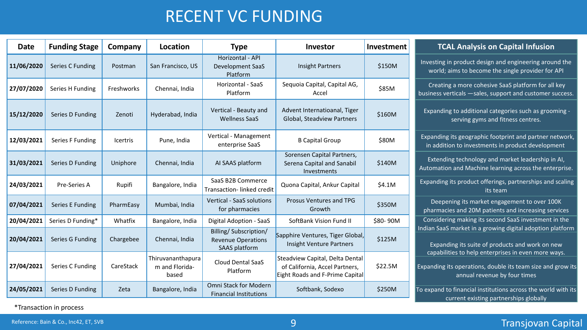# RECENT VC FUNDING

| Date       | <b>Funding Stage</b> | Company    | Location                                     | <b>Type</b>                                                                | Investor                                                                                             | Investment | <b>TCAL Analysis on Capital Infusion</b>                                                                                                           |  |
|------------|----------------------|------------|----------------------------------------------|----------------------------------------------------------------------------|------------------------------------------------------------------------------------------------------|------------|----------------------------------------------------------------------------------------------------------------------------------------------------|--|
| 11/06/2020 | Series C Funding     | Postman    | San Francisco, US                            | Horizontal - API<br><b>Development SaaS</b><br>Platform                    | <b>Insight Partners</b>                                                                              | \$150M     | Investing in product design and engineering around the<br>world; aims to become the single provider for API                                        |  |
| 27/07/2020 | Series H Funding     | Freshworks | Chennai, India                               | Horizontal - SaaS<br>Platform                                              | Sequoia Capital, Capital AG,<br>Accel                                                                | \$85M      | Creating a more cohesive SaaS platform for all key<br>business verticals - sales, support and customer success.                                    |  |
| 15/12/2020 | Series D Funding     | Zenoti     | Hyderabad, India                             | Vertical - Beauty and<br><b>Wellness SaaS</b>                              | Advent Internatioanal, Tiger<br>Global, Steadview Partners                                           | \$160M     | Expanding to additional categories such as grooming -<br>serving gyms and fitness centres.                                                         |  |
| 12/03/2021 | Series F Funding     | Icertris   | Pune, India                                  | Vertical - Management<br>enterprise SaaS                                   | <b>B Capital Group</b>                                                                               | \$80M      | Expanding its geographic footprint and partner network,<br>in addition to investments in product development                                       |  |
| 31/03/2021 | Series D Funding     | Uniphore   | Chennai, India                               | AI SAAS platform                                                           | Sorensen Capital Partners,<br>Serena Capital and Sanabil<br>Investments                              | \$140M     | Extending technology and market leadership in AI,<br>Automation and Machine learning across the enterprise.                                        |  |
| 24/03/2021 | Pre-Series A         | Rupifi     | Bangalore, India                             | SaaS B2B Commerce<br>Transaction-linked credit                             | Quona Capital, Ankur Capital                                                                         | \$4.1M     | Expanding its product offerings, partnerships and scaling<br>its team                                                                              |  |
| 07/04/2021 | Series E Funding     | PharmEasy  | Mumbai, India                                | <b>Vertical - SaaS solutions</b><br>for pharmacies                         | <b>Prosus Ventures and TPG</b><br>Growth                                                             | \$350M     | Deepening its market engagement to over 100K<br>pharmacies and 20M patients and increasing services                                                |  |
| 20/04/2021 | Series D Funding*    | Whatfix    | Bangalore, India                             | Digital Adoption - SaaS                                                    | SoftBank Vision Fund II                                                                              | \$80-90M   | Considering making its second SaaS investment in the                                                                                               |  |
| 20/04/2021 | Series G Funding     | Chargebee  | Chennai, India                               | Billing/Subscription/<br><b>Revenue Operations</b><br><b>SAAS platform</b> | Sapphire Ventures, Tiger Global,<br><b>Insight Venture Partners</b>                                  | \$125M     | Indian SaaS market in a growing digital adoption platform<br>Expanding its suite of products and work on new                                       |  |
| 27/04/2021 | Series C Funding     | CareStack  | Thiruvananthapura<br>m and Florida-<br>based | Cloud Dental SaaS<br>Platform                                              | Steadview Capital, Delta Dental<br>of California, Accel Partners,<br>Eight Roads and F-Prime Capital | \$22.5M    | capabilities to help enterprises in even more ways.<br>Expanding its operations, double its team size and grow its<br>annual revenue by four times |  |
| 24/05/2021 | Series D Funding     | Zeta       | Bangalore, India                             | Omni Stack for Modern<br><b>Financial Institutions</b>                     | Softbank, Sodexo                                                                                     | \$250M     | To expand to financial institutions across the world with its<br>urront ovieting nortnorebine glabelly                                             |  |

\*Transaction in process

#### 9 Transjovan Capital

expand to financial institutions across the world with its current existing partnerships globally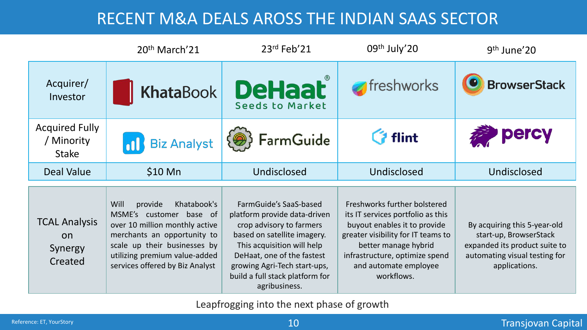# RECENT M&A DEALS AROSS THE INDIAN SAAS SECTOR

|                                                         | 20 <sup>th</sup> March <sup>'21</sup>                                                                                                                                                                                          | 23rd Feb'21                                                                                                                                                                                                                                                       | 09th July'20                                                                                                                                                                                                                             | 9 <sup>th</sup> June'20                                                                                                                   |
|---------------------------------------------------------|--------------------------------------------------------------------------------------------------------------------------------------------------------------------------------------------------------------------------------|-------------------------------------------------------------------------------------------------------------------------------------------------------------------------------------------------------------------------------------------------------------------|------------------------------------------------------------------------------------------------------------------------------------------------------------------------------------------------------------------------------------------|-------------------------------------------------------------------------------------------------------------------------------------------|
| Acquirer/<br>Investor                                   | <b>KhataBook</b>                                                                                                                                                                                                               | <b>DeHaat</b>                                                                                                                                                                                                                                                     | freshworks                                                                                                                                                                                                                               | <b>BrowserStack</b>                                                                                                                       |
| <b>Acquired Fully</b><br>/ Minority<br><b>Stake</b>     | <b>Biz Analyst</b>                                                                                                                                                                                                             | <b>FarmGuide</b>                                                                                                                                                                                                                                                  | <b>G</b> flint                                                                                                                                                                                                                           | percy                                                                                                                                     |
| <b>Deal Value</b>                                       | $$10$ Mn                                                                                                                                                                                                                       | Undisclosed                                                                                                                                                                                                                                                       |                                                                                                                                                                                                                                          | Undisclosed                                                                                                                               |
| <b>TCAL Analysis</b><br><b>on</b><br>Synergy<br>Created | Will<br>provide<br>Khatabook's<br>MSME's customer base of<br>over 10 million monthly active<br>merchants an opportunity to<br>scale up their businesses by<br>utilizing premium value-added<br>services offered by Biz Analyst | FarmGuide's SaaS-based<br>platform provide data-driven<br>crop advisory to farmers<br>based on satellite imagery.<br>This acquisition will help<br>DeHaat, one of the fastest<br>growing Agri-Tech start-ups,<br>build a full stack platform for<br>agribusiness. | Freshworks further bolstered<br>its IT services portfolio as this<br>buyout enables it to provide<br>greater visibility for IT teams to<br>better manage hybrid<br>infrastructure, optimize spend<br>and automate employee<br>workflows. | By acquiring this 5-year-old<br>start-up, BrowserStack<br>expanded its product suite to<br>automating visual testing for<br>applications. |

Leapfrogging into the next phase of growth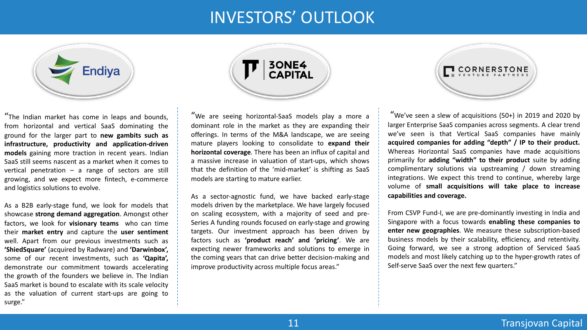# INVESTORS' OUTLOOK



"The Indian market has come in leaps and bounds, from horizontal and vertical SaaS dominating the ground for the larger part to **new gambits such as infrastructure, productivity and application-driven models** gaining more traction in recent years. Indian SaaS still seems nascent as a market when it comes to vertical penetration  $-$  a range of sectors are still growing, and we expect more fintech, e-commerce and logistics solutions to evolve.

As a B2B early-stage fund, we look for models that showcase **strong demand aggregation**. Amongst other factors, we look for **visionary teams** who can time their **market entry** and capture the **user sentiment** well. Apart from our previous investments such as **'ShiedSquare'** (acquired by Radware) and **'Darwinbox',** some of our recent investments, such as **'Qapita',** demonstrate our commitment towards accelerating the growth of the founders we believe in. The Indian SaaS market is bound to escalate with its scale velocity as the valuation of current start-ups are going to surge."



"We are seeing horizontal-SaaS models play a more a dominant role in the market as they are expanding their offerings. In terms of the M&A landscape, we are seeing mature players looking to consolidate to **expand their horizontal coverage**. There has been an influx of capital and a massive increase in valuation of start-ups, which shows that the definition of the 'mid-market' is shifting as SaaS models are starting to mature earlier.

As a sector-agnostic fund, we have backed early-stage models driven by the marketplace. We have largely focused on scaling ecosystem, with a majority of seed and pre-Series A funding rounds focused on early-stage and growing targets. Our investment approach has been driven by factors such as **'product reach' and 'pricing'**. We are expecting newer frameworks and solutions to emerge in the coming years that can drive better decision-making and improve productivity across multiple focus areas."



"We've seen a slew of acquisitions (50+) in 2019 and 2020 by larger Enterprise SaaS companies across segments. A clear trend we've seen is that Vertical SaaS companies have mainly **acquired companies for adding "depth" / IP to their product.** Whereas Horizontal SaaS companies have made acquisitions primarily for **adding "width" to their product** suite by adding complimentary solutions via upstreaming / down streaming integrations. We expect this trend to continue, whereby large volume of **small acquisitions will take place to increase capabilities and coverage.**

From CSVP Fund-I, we are pre-dominantly investing in India and Singapore with a focus towards **enabling these companies to enter new geographies**. We measure these subscription-based business models by their scalability, efficiency, and retentivity. Going forward, we see a strong adoption of Serviced SaaS models and most likely catching up to the hyper-growth rates of Self-serve SaaS over the next few quarters."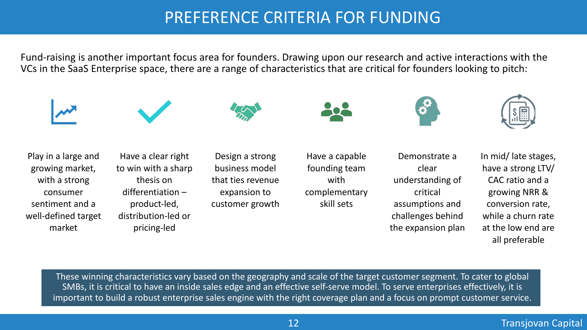# PREFERENCE CRITERIA FOR FUNDING

Fund-raising is another important focus area for founders. Drawing upon our research and active interactions with the VCs in the SaaS Enterprise space, there are a range of characteristics that are critical for founders looking to pitch:







Play in a large and growing market, with a strong consumer sentiment and a well-defined target market

Have a clear right to win with a sharp thesis on differentiation – product-led, distribution-led or pricing-led

Design a strong business model that ties revenue expansion to customer growth



Have a capable founding team with complementary skill sets



Demonstrate a clear understanding of critical assumptions and challenges behind the expansion plan



In mid/ late stages, have a strong LTV/ CAC ratio and a growing NRR & conversion rate, while a churn rate at the low end are all preferable

These winning characteristics vary based on the geography and scale of the target customer segment. To cater to global SMBs, it is critical to have an inside sales edge and an effective self-serve model. To serve enterprises effectively, it is important to build a robust enterprise sales engine with the right coverage plan and a focus on prompt customer service.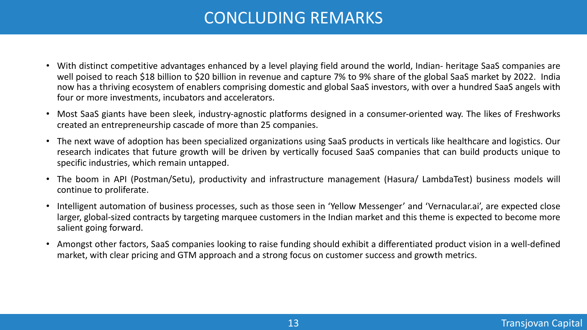# CONCLUDING REMARKS

- With distinct competitive advantages enhanced by a level playing field around the world, Indian- heritage SaaS companies are well poised to reach \$18 billion to \$20 billion in revenue and capture 7% to 9% share of the global SaaS market by 2022. India now has a thriving ecosystem of enablers comprising domestic and global SaaS investors, with over a hundred SaaS angels with four or more investments, incubators and accelerators.
- Most SaaS giants have been sleek, industry-agnostic platforms designed in a consumer-oriented way. The likes of Freshworks created an entrepreneurship cascade of more than 25 companies.
- The next wave of adoption has been specialized organizations using SaaS products in verticals like healthcare and logistics. Our research indicates that future growth will be driven by vertically focused SaaS companies that can build products unique to specific industries, which remain untapped.
- The boom in API (Postman/Setu), productivity and infrastructure management (Hasura/ LambdaTest) business models will continue to proliferate.
- Intelligent automation of business processes, such as those seen in 'Yellow Messenger' and 'Vernacular.ai', are expected close larger, global-sized contracts by targeting marquee customers in the Indian market and this theme is expected to become more salient going forward.
- Amongst other factors, SaaS companies looking to raise funding should exhibit a differentiated product vision in a well-defined market, with clear pricing and GTM approach and a strong focus on customer success and growth metrics.